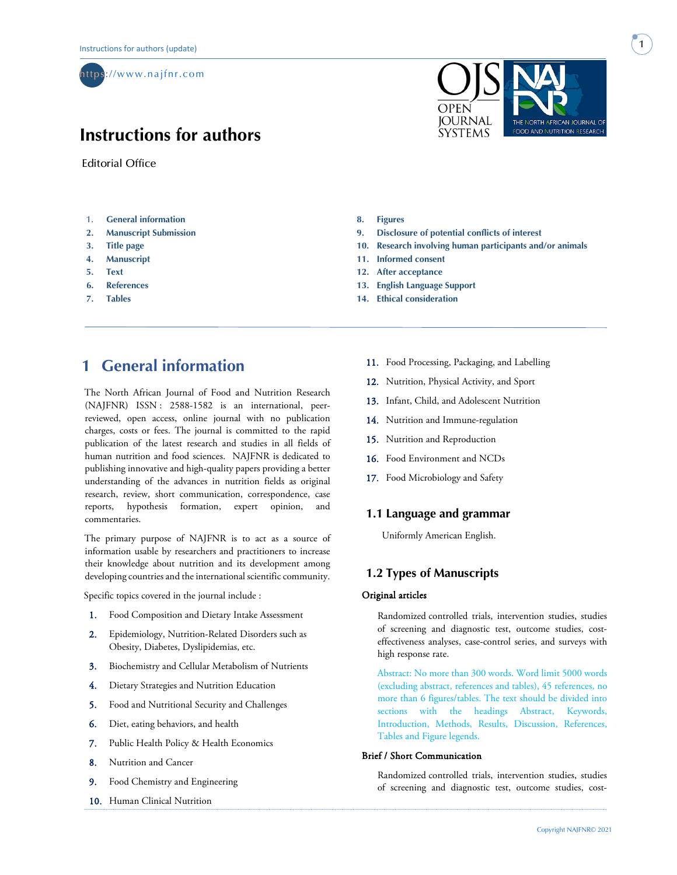

# **Instructions for authors**

Editorial Office

- 1. **General information**
- **2. [Manuscript Submission](#page-2-0)**
- **3. [Title page](#page-3-0)**
- **4. Manuscript**
- **5. Text**
- **6. [References](#page-5-0)**
- **7. [Tables](#page-5-1)**



- **8. Figures**
- **9. [Disclosure of potential conflicts of interest](#page-6-0)**
- **10. [Research involving human participants and/or animals](#page-6-1)**
- **11. [Informed consent](#page-7-0)**
- **12. [After acceptance](#page-7-1)**
- **13. [English Language Support](#page-7-2)**
- **14. [Ethical consideration](#page-7-3)**

# **1 General information**

The North African Journal of Food and Nutrition Research (NAJFNR) ISSN : 2588-1582 is an international, peerreviewed, open access, online journal with no publication charges, costs or fees. The journal is committed to the rapid publication of the latest research and studies in all fields of human nutrition and food sciences. NAJFNR is dedicated to publishing innovative and high-quality papers providing a better understanding of the advances in nutrition fields as original research, review, short communication, correspondence, case reports, hypothesis formation, expert opinion, and commentaries.

The primary purpose of NAJFNR is to act as a source of information usable by researchers and practitioners to increase their knowledge about nutrition and its development among developing countries and the international scientific community.

Specific topics covered in the journal include :

- 1. Food Composition and Dietary Intake Assessment
- 2. Epidemiology, Nutrition-Related Disorders such as Obesity, Diabetes, Dyslipidemias, etc.
- 3. Biochemistry and Cellular Metabolism of Nutrients
- 4. Dietary Strategies and Nutrition Education
- 5. Food and Nutritional Security and Challenges
- 6. Diet, eating behaviors, and health
- 7. Public Health Policy & Health Economics
- 8. Nutrition and Cancer
- 9. Food Chemistry and Engineering
- 10. Human Clinical Nutrition
- 11. Food Processing, Packaging, and Labelling
- 12. Nutrition, Physical Activity, and Sport
- 13. Infant, Child, and Adolescent Nutrition
- 14. Nutrition and Immune-regulation
- 15. Nutrition and Reproduction
- 16. Food Environment and NCDs
- 17. Food Microbiology and Safety

## **1.1 Language and grammar**

Uniformly American English.

### **1.2 Types of Manuscripts**

#### Original articles

Randomized controlled trials, intervention studies, studies of screening and diagnostic test, outcome studies, costeffectiveness analyses, case-control series, and surveys with high response rate.

Abstract: No more than 300 words. Word limit 5000 words (excluding abstract, references and tables), 45 references, no more than 6 figures/tables. The text should be divided into sections with the headings Abstract, Keywords, Introduction, Methods, Results, Discussion, References, Tables and Figure legends.

#### Brief / Short Communication

Randomized controlled trials, intervention studies, studies of screening and diagnostic test, outcome studies, cost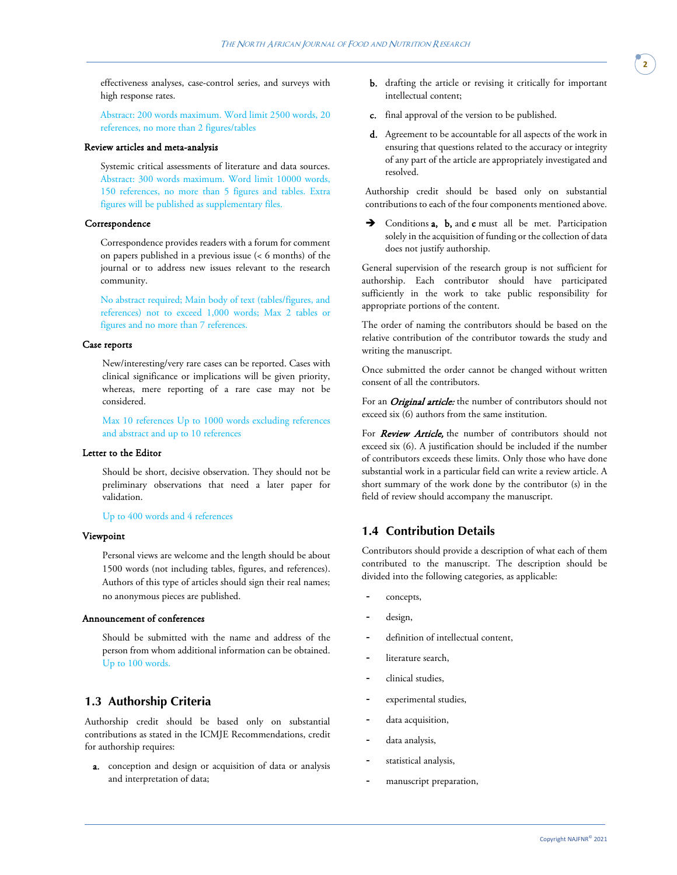effectiveness analyses, case-control series, and surveys with high response rates.

Abstract: 200 words maximum. Word limit 2500 words, 20 references, no more than 2 figures/tables

#### Review articles and meta-analysis

Systemic critical assessments of literature and data sources. Abstract: 300 words maximum. Word limit 10000 words, 150 references, no more than 5 figures and tables. Extra figures will be published as supplementary files.

#### Correspondence

Correspondence provides readers with a forum for comment on papers published in a previous issue (< 6 months) of the journal or to address new issues relevant to the research community.

No abstract required; Main body of text (tables/figures, and references) not to exceed 1,000 words; Max 2 tables or figures and no more than 7 references.

#### Case reports

New/interesting/very rare cases can be reported. Cases with clinical significance or implications will be given priority, whereas, mere reporting of a rare case may not be considered.

Max 10 references Up to 1000 words excluding references and abstract and up to 10 references

#### Letter to the Editor

Should be short, decisive observation. They should not be preliminary observations that need a later paper for validation.

#### Up to 400 words and 4 references

#### Viewpoint

Personal views are welcome and the length should be about 1500 words (not including tables, figures, and references). Authors of this type of articles should sign their real names; no anonymous pieces are published.

#### Announcement of conferences

Should be submitted with the name and address of the person from whom additional information can be obtained. Up to 100 words.

## **1.3 Authorship Criteria**

Authorship credit should be based only on substantial contributions as stated in the ICMJE Recommendations, credit for authorship requires:

a. conception and design or acquisition of data or analysis and interpretation of data;

- b. drafting the article or revising it critically for important intellectual content;
- c. final approval of the version to be published.
- d. Agreement to be accountable for all aspects of the work in ensuring that questions related to the accuracy or integrity of any part of the article are appropriately investigated and resolved.

Authorship credit should be based only on substantial contributions to each of the four components mentioned above.

 $\rightarrow$  Conditions **a**, **b**, and **c** must all be met. Participation solely in the acquisition of funding or the collection of data does not justify authorship.

General supervision of the research group is not sufficient for authorship. Each contributor should have participated sufficiently in the work to take public responsibility for appropriate portions of the content.

The order of naming the contributors should be based on the relative contribution of the contributor towards the study and writing the manuscript.

Once submitted the order cannot be changed without written consent of all the contributors.

For an *Original article:* the number of contributors should not exceed six (6) authors from the same institution.

For *Review Article*, the number of contributors should not exceed six (6). A justification should be included if the number of contributors exceeds these limits. Only those who have done substantial work in a particular field can write a review article. A short summary of the work done by the contributor (s) in the field of review should accompany the manuscript.

### **1.4 Contribution Details**

Contributors should provide a description of what each of them contributed to the manuscript. The description should be divided into the following categories, as applicable:

- concepts,
- design,
- definition of intellectual content,
- literature search,
- clinical studies,
- experimental studies,
- data acquisition,
- data analysis,
- statistical analysis,
- manuscript preparation,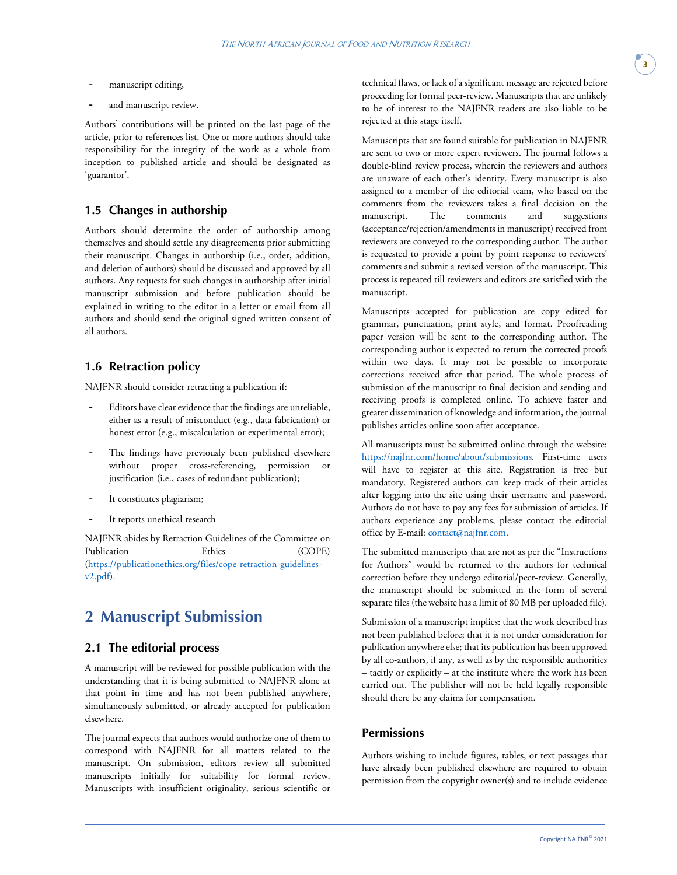- manuscript editing,
- and manuscript review.

Authors' contributions will be printed on the last page of the article, prior to references list. One or more authors should take responsibility for the integrity of the work as a whole from inception to published article and should be designated as 'guarantor'.

## **1.5 Changes in authorship**

Authors should determine the order of authorship among themselves and should settle any disagreements prior submitting their manuscript. Changes in authorship (i.e., order, addition, and deletion of authors) should be discussed and approved by all authors. Any requests for such changes in authorship after initial manuscript submission and before publication should be explained in writing to the editor in a letter or email from all authors and should send the original signed written consent of all authors.

## **1.6 Retraction policy**

NAJFNR should consider retracting a publication if:

- Editors have clear evidence that the findings are unreliable, either as a result of misconduct (e.g., data fabrication) or honest error (e.g., miscalculation or experimental error);
- The findings have previously been published elsewhere without proper cross-referencing, permission or justification (i.e., cases of redundant publication);
- It constitutes plagiarism;
- It reports unethical research

NAJFNR abides by Retraction Guidelines of the Committee on Publication Ethics (COPE) [\(https://publicationethics.org/files/cope-retraction-guidelines](https://publicationethics.org/files/cope-retraction-guidelines-v2.pdf)[v2.pdf\)](https://publicationethics.org/files/cope-retraction-guidelines-v2.pdf).

# <span id="page-2-0"></span>**2 Manuscript Submission**

## **2.1 The editorial process**

A manuscript will be reviewed for possible publication with the understanding that it is being submitted to NAJFNR alone at that point in time and has not been published anywhere, simultaneously submitted, or already accepted for publication elsewhere.

The journal expects that authors would authorize one of them to correspond with NAJFNR for all matters related to the manuscript. On submission, editors review all submitted manuscripts initially for suitability for formal review. Manuscripts with insufficient originality, serious scientific or

technical flaws, or lack of a significant message are rejected before proceeding for formal peer-review. Manuscripts that are unlikely to be of interest to the NAJFNR readers are also liable to be rejected at this stage itself.

Manuscripts that are found suitable for publication in NAJFNR are sent to two or more expert reviewers. The journal follows a double-blind review process, wherein the reviewers and authors are unaware of each other's identity. Every manuscript is also assigned to a member of the editorial team, who based on the comments from the reviewers takes a final decision on the manuscript. The comments and suggestions (acceptance/rejection/amendments in manuscript) received from reviewers are conveyed to the corresponding author. The author is requested to provide a point by point response to reviewers' comments and submit a revised version of the manuscript. This process is repeated till reviewers and editors are satisfied with the manuscript.

Manuscripts accepted for publication are copy edited for grammar, punctuation, print style, and format. Proofreading paper version will be sent to the corresponding author. The corresponding author is expected to return the corrected proofs within two days. It may not be possible to incorporate corrections received after that period. The whole process of submission of the manuscript to final decision and sending and receiving proofs is completed online. To achieve faster and greater dissemination of knowledge and information, the journal publishes articles online soon after acceptance.

All manuscripts must be submitted online through the website: [https://najfnr.com/home/about/submissions.](https://najfnr.com/home/about/submissions) First-time users will have to register at this site. Registration is free but mandatory. Registered authors can keep track of their articles after logging into the site using their username and password. Authors do not have to pay any fees for submission of articles. If authors experience any problems, please contact the editorial office by E-mail: [contact@najfnr.com.](mailto:contact@najfnr.com)

The submitted manuscripts that are not as per the "Instructions for Authors" would be returned to the authors for technical correction before they undergo editorial/peer-review. Generally, the manuscript should be submitted in the form of several separate files (the website has a limit of 80 MB per uploaded file).

Submission of a manuscript implies: that the work described has not been published before; that it is not under consideration for publication anywhere else; that its publication has been approved by all co-authors, if any, as well as by the responsible authorities – tacitly or explicitly – at the institute where the work has been carried out. The publisher will not be held legally responsible should there be any claims for compensation.

## **Permissions**

Authors wishing to include figures, tables, or text passages that have already been published elsewhere are required to obtain permission from the copyright owner(s) and to include evidence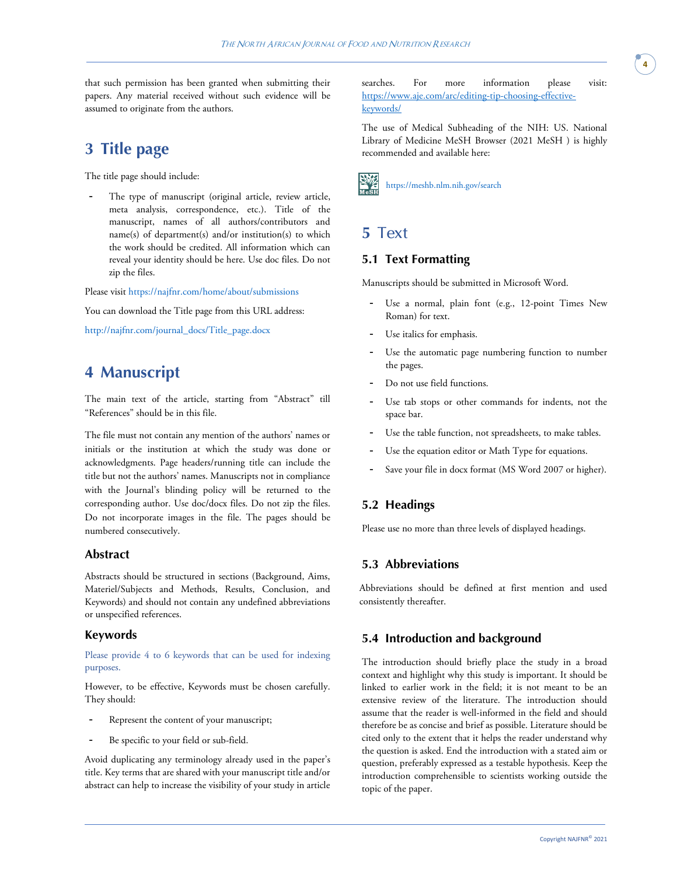that such permission has been granted when submitting their papers. Any material received without such evidence will be assumed to originate from the authors.

# <span id="page-3-0"></span>**3 Title page**

The title page should include:

The type of manuscript (original article, review article, meta analysis, correspondence, etc.). Title of the manuscript, names of all authors/contributors and name(s) of department(s) and/or institution(s) to which the work should be credited. All information which can reveal your identity should be here. Use doc files. Do not zip the files.

Please visi[t https://najfnr.com/home/about/submissions](https://najfnr.com/home/about/submissions)

You can download the Title page from this URL address:

[http://najfnr.com/journal\\_docs/Title\\_page.docx](http://najfnr.com/journal_docs/Title_page.docx)

## **4 Manuscript**

The main text of the article, starting from "Abstract" till "References" should be in this file.

The file must not contain any mention of the authors' names or initials or the institution at which the study was done or acknowledgments. Page headers/running title can include the title but not the authors' names. Manuscripts not in compliance with the Journal's blinding policy will be returned to the corresponding author. Use doc/docx files. Do not zip the files. Do not incorporate images in the file. The pages should be numbered consecutively.

## **Abstract**

Abstracts should be structured in sections (Background, Aims, Materiel/Subjects and Methods, Results, Conclusion, and Keywords) and should not contain any undefined abbreviations or unspecified references.

#### **Keywords**

Please provide 4 to 6 keywords that can be used for indexing purposes.

However, to be effective, Keywords must be chosen carefully. They should:

- Represent the content of your manuscript;
- Be specific to your field or sub-field.

Avoid duplicating any terminology already used in the paper's title. Key terms that are shared with your manuscript title and/or abstract can help to increase the visibility of your study in article

searches. For more information please visit: [https://www.aje.com/arc/editing-tip-choosing-effective](https://www.aje.com/arc/editing-tip-choosing-effective-keywords/)[keywords/](https://www.aje.com/arc/editing-tip-choosing-effective-keywords/)

The use of Medical Subheading of the NIH: US. National Library of Medicine MeSH Browser (2021 MeSH ) is highly recommended and available here:



<https://meshb.nlm.nih.gov/search>

## **5** Text

## **5.1 Text Formatting**

Manuscripts should be submitted in Microsoft Word.

- Use a normal, plain font (e.g., 12-point Times New Roman) for text.
- Use italics for emphasis.
- Use the automatic page numbering function to number the pages.
- Do not use field functions.
- Use tab stops or other commands for indents, not the space bar.
- Use the table function, not spreadsheets, to make tables.
- Use the equation editor or Math Type for equations.
- Save your file in docx format (MS Word 2007 or higher).

## **5.2 Headings**

Please use no more than three levels of displayed headings.

## **5.3 Abbreviations**

Abbreviations should be defined at first mention and used consistently thereafter.

### **5.4 Introduction and background**

The introduction should briefly place the study in a broad context and highlight why this study is important. It should be linked to earlier work in the field; it is not meant to be an extensive review of the literature. The introduction should assume that the reader is well-informed in the field and should therefore be as concise and brief as possible. Literature should be cited only to the extent that it helps the reader understand why the question is asked. End the introduction with a stated aim or question, preferably expressed as a testable hypothesis. Keep the introduction comprehensible to scientists working outside the topic of the paper.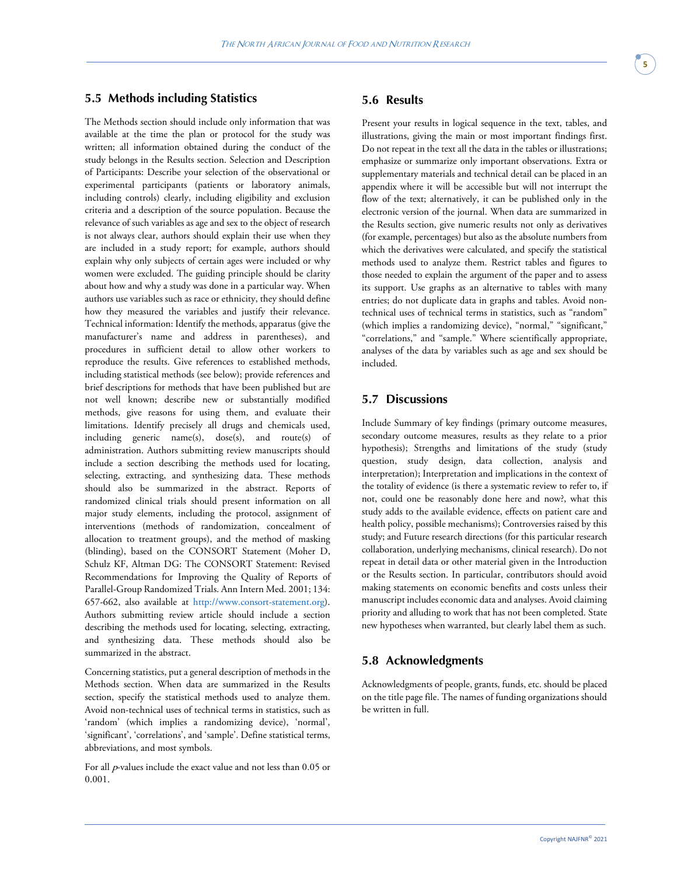## **5.5 Methods including Statistics**

The Methods section should include only information that was available at the time the plan or protocol for the study was written; all information obtained during the conduct of the study belongs in the Results section. Selection and Description of Participants: Describe your selection of the observational or experimental participants (patients or laboratory animals, including controls) clearly, including eligibility and exclusion criteria and a description of the source population. Because the relevance of such variables as age and sex to the object of research is not always clear, authors should explain their use when they are included in a study report; for example, authors should explain why only subjects of certain ages were included or why women were excluded. The guiding principle should be clarity about how and why a study was done in a particular way. When authors use variables such as race or ethnicity, they should define how they measured the variables and justify their relevance. Technical information: Identify the methods, apparatus (give the manufacturer's name and address in parentheses), and procedures in sufficient detail to allow other workers to reproduce the results. Give references to established methods, including statistical methods (see below); provide references and brief descriptions for methods that have been published but are not well known; describe new or substantially modified methods, give reasons for using them, and evaluate their limitations. Identify precisely all drugs and chemicals used, including generic name(s), dose(s), and route(s) of administration. Authors submitting review manuscripts should include a section describing the methods used for locating, selecting, extracting, and synthesizing data. These methods should also be summarized in the abstract. Reports of randomized clinical trials should present information on all major study elements, including the protocol, assignment of interventions (methods of randomization, concealment of allocation to treatment groups), and the method of masking (blinding), based on the CONSORT Statement (Moher D, Schulz KF, Altman DG: The CONSORT Statement: Revised Recommendations for Improving the Quality of Reports of Parallel-Group Randomized Trials. Ann Intern Med. 2001; 134: 657-662, also available at [http://www.consort-statement.org\)](http://www.consort-statement.org/). Authors submitting review article should include a section describing the methods used for locating, selecting, extracting, and synthesizing data. These methods should also be summarized in the abstract.

Concerning statistics, put a general description of methods in the Methods section. When data are summarized in the Results section, specify the statistical methods used to analyze them. Avoid non-technical uses of technical terms in statistics, such as 'random' (which implies a randomizing device), 'normal', 'significant', 'correlations', and 'sample'. Define statistical terms, abbreviations, and most symbols.

For all <sup>p</sup>-values include the exact value and not less than 0.05 or 0.001.

## **5.6 Results**

Present your results in logical sequence in the text, tables, and illustrations, giving the main or most important findings first. Do not repeat in the text all the data in the tables or illustrations; emphasize or summarize only important observations. Extra or supplementary materials and technical detail can be placed in an appendix where it will be accessible but will not interrupt the flow of the text; alternatively, it can be published only in the electronic version of the journal. When data are summarized in the Results section, give numeric results not only as derivatives (for example, percentages) but also as the absolute numbers from which the derivatives were calculated, and specify the statistical methods used to analyze them. Restrict tables and figures to those needed to explain the argument of the paper and to assess its support. Use graphs as an alternative to tables with many entries; do not duplicate data in graphs and tables. Avoid nontechnical uses of technical terms in statistics, such as "random" (which implies a randomizing device), "normal," "significant," "correlations," and "sample." Where scientifically appropriate, analyses of the data by variables such as age and sex should be included.

## **5.7 Discussions**

Include Summary of key findings (primary outcome measures, secondary outcome measures, results as they relate to a prior hypothesis); Strengths and limitations of the study (study question, study design, data collection, analysis and interpretation); Interpretation and implications in the context of the totality of evidence (is there a systematic review to refer to, if not, could one be reasonably done here and now?, what this study adds to the available evidence, effects on patient care and health policy, possible mechanisms); Controversies raised by this study; and Future research directions (for this particular research collaboration, underlying mechanisms, clinical research). Do not repeat in detail data or other material given in the Introduction or the Results section. In particular, contributors should avoid making statements on economic benefits and costs unless their manuscript includes economic data and analyses. Avoid claiming priority and alluding to work that has not been completed. State new hypotheses when warranted, but clearly label them as such.

## **5.8 Acknowledgments**

Acknowledgments of people, grants, funds, etc. should be placed on the title page file. The names of funding organizations should be written in full.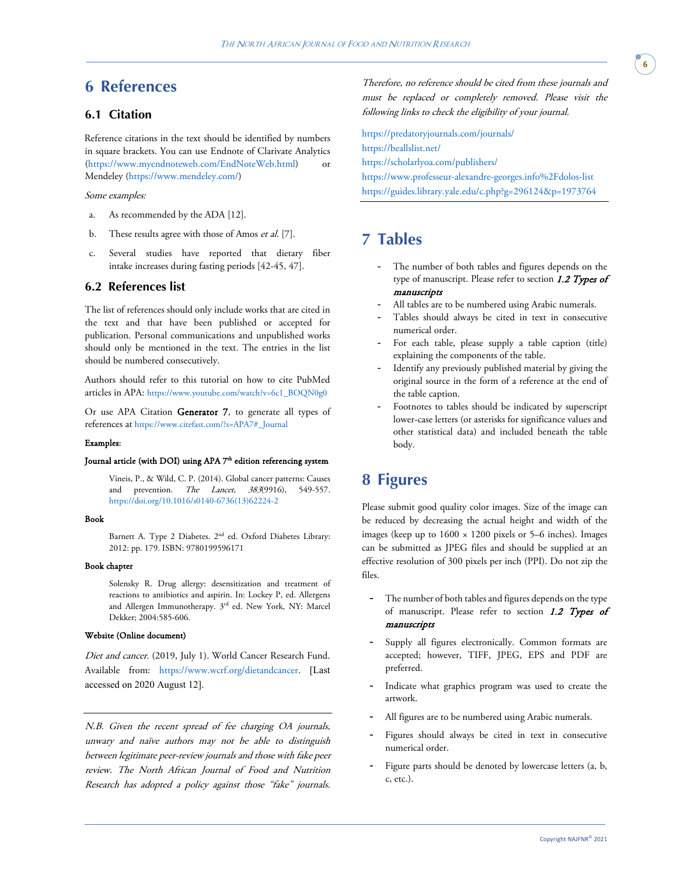# <span id="page-5-0"></span>**6 References**

## **6.1 Citation**

Reference citations in the text should be identified by numbers in square brackets. You can use Endnote of Clarivate Analytics [\(https://www.myendnoteweb.com/EndNoteWeb.html\)](https://www.myendnoteweb.com/EndNoteWeb.html) or Mendeley [\(https://www.mendeley.com/\)](https://www.mendeley.com/)

#### Some examples:

- a. As recommended by the ADA [12].
- b. These results agree with those of Amos *et al.* [7].
- c. Several studies have reported that dietary fiber intake increases during fasting periods [42-45, 47].

## **6.2 References list**

The list of references should only include works that are cited in the text and that have been published or accepted for publication. Personal communications and unpublished works should only be mentioned in the text. The entries in the list should be numbered consecutively.

Authors should refer to this tutorial on how to cite PubMed articles in APA: [https://www.youtube.com/watch?v=6c1\\_BOQN0g0](https://www.youtube.com/watch?v=6c1_BOQN0g0)

Or use APA Citation Generator 7, to generate all types of references at [https://www.citefast.com/?s=APA7#\\_Journal](https://www.citefast.com/?s=APA7#_Journal)

#### Examples:

#### Journal article (with DOI) using APA 7<sup>th</sup> edition referencing system

Vineis, P., & Wild, C. P. (2014). Global cancer patterns: Causes and prevention. *The Lancet*, 383(9916), 549-557. [https://doi.org/10.1016/s0140-6736\(13\)62224-2](https://doi.org/10.1016/s0140-6736(13)62224-2)

#### Book

Barnett A. Type 2 Diabetes. 2nd ed. Oxford Diabetes Library: 2012: pp. 179. ISBN: 9780199596171

#### Book chapter

Solensky R. Drug allergy: desensitization and treatment of reactions to antibiotics and aspirin. In: Lockey P, ed. Allergens and Allergen Immunotherapy. 3rd ed. New York, NY: Marcel Dekker; 2004:585-606.

#### Website (Online document)

Diet and cancer. (2019, July 1). World Cancer Research Fund. Available from: <https://www.wcrf.org/dietandcancer>. [Last accessed on 2020 August 12].

N.B. Given the recent spread of fee charging OA journals, unwary and naïve authors may not be able to distinguish between legitimate peer-review journals and those with fake peer review. The North African Journal of Food and Nutrition Research has adopted <sup>a</sup> policy against those "fake" journals.

Therefore, no reference should be cited from these journals and must be replaced or completely removed. Please visit the following links to check the eligibility of your journal.

<https://predatoryjournals.com/journals/> <https://beallslist.net/> <https://scholarlyoa.com/publishers/> https://www.professeur-alexandre-georges.info%2Fdolos-list <https://guides.library.yale.edu/c.php?g=296124&p=1973764>

# <span id="page-5-1"></span>**7 Tables**

- The number of both tables and figures depends on the type of manuscript. Please refer to section 1.2 Types of manuscripts
- All tables are to be numbered using Arabic numerals.
- Tables should always be cited in text in consecutive numerical order.
- For each table, please supply a table caption (title) explaining the components of the table.
- Identify any previously published material by giving the original source in the form of a reference at the end of the table caption.
- Footnotes to tables should be indicated by superscript lower-case letters (or asterisks for significance values and other statistical data) and included beneath the table body.

# **8 Figures**

Please submit good quality color images. Size of the image can be reduced by decreasing the actual height and width of the images (keep up to  $1600 \times 1200$  pixels or 5–6 inches). Images can be submitted as JPEG files and should be supplied at an effective resolution of 300 pixels per inch (PPI). Do not zip the files.

- The number of both tables and figures depends on the type of manuscript. Please refer to section 1.2 Types of manuscripts
- Supply all figures electronically. Common formats are accepted; however, TIFF, JPEG, EPS and PDF are preferred.
- Indicate what graphics program was used to create the artwork.
- All figures are to be numbered using Arabic numerals.
- Figures should always be cited in text in consecutive numerical order.
- Figure parts should be denoted by lowercase letters (a, b, c, etc.).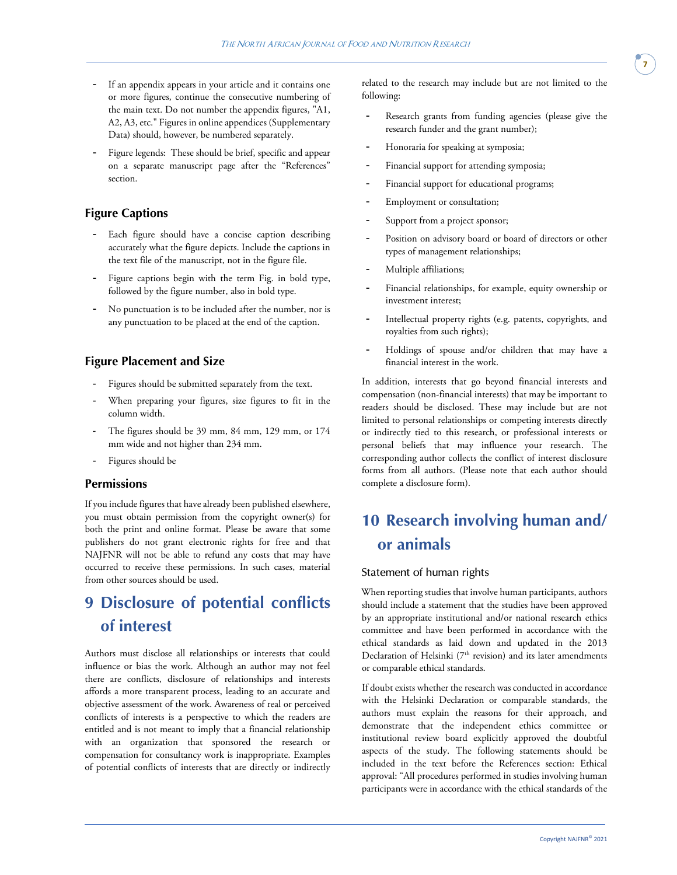- If an appendix appears in your article and it contains one or more figures, continue the consecutive numbering of the main text. Do not number the appendix figures, "A1, A2, A3, etc." Figures in online appendices (Supplementary Data) should, however, be numbered separately.
- Figure legends: These should be brief, specific and appear on a separate manuscript page after the "References" section.

## **Figure Captions**

- Each figure should have a concise caption describing accurately what the figure depicts. Include the captions in the text file of the manuscript, not in the figure file.
- Figure captions begin with the term Fig. in bold type, followed by the figure number, also in bold type.
- No punctuation is to be included after the number, nor is any punctuation to be placed at the end of the caption.

## **Figure Placement and Size**

- Figures should be submitted separately from the text.
- When preparing your figures, size figures to fit in the column width.
- The figures should be 39 mm, 84 mm, 129 mm, or 174 mm wide and not higher than 234 mm.
- Figures should be

#### **Permissions**

If you include figures that have already been published elsewhere, you must obtain permission from the copyright owner(s) for both the print and online format. Please be aware that some publishers do not grant electronic rights for free and that NAJFNR will not be able to refund any costs that may have occurred to receive these permissions. In such cases, material from other sources should be used.

# <span id="page-6-0"></span>**9 Disclosure of potential conflicts of interest**

Authors must disclose all relationships or interests that could influence or bias the work. Although an author may not feel there are conflicts, disclosure of relationships and interests affords a more transparent process, leading to an accurate and objective assessment of the work. Awareness of real or perceived conflicts of interests is a perspective to which the readers are entitled and is not meant to imply that a financial relationship with an organization that sponsored the research or compensation for consultancy work is inappropriate. Examples of potential conflicts of interests that are directly or indirectly related to the research may include but are not limited to the following:

- Research grants from funding agencies (please give the research funder and the grant number);
- Honoraria for speaking at symposia;
- Financial support for attending symposia;
- Financial support for educational programs;
- Employment or consultation;
- Support from a project sponsor;
- Position on advisory board or board of directors or other types of management relationships;
- Multiple affiliations;
- Financial relationships, for example, equity ownership or investment interest;
- Intellectual property rights (e.g. patents, copyrights, and royalties from such rights);
- Holdings of spouse and/or children that may have a financial interest in the work.

In addition, interests that go beyond financial interests and compensation (non-financial interests) that may be important to readers should be disclosed. These may include but are not limited to personal relationships or competing interests directly or indirectly tied to this research, or professional interests or personal beliefs that may influence your research. The corresponding author collects the conflict of interest disclosure forms from all authors. (Please note that each author should complete a disclosure form).

# <span id="page-6-1"></span>**10 Research involving human and/ or animals**

## Statement of human rights

When reporting studies that involve human participants, authors should include a statement that the studies have been approved by an appropriate institutional and/or national research ethics committee and have been performed in accordance with the ethical standards as laid down and updated in the 2013 Declaration of Helsinki (7<sup>th</sup> revision) and its later amendments or comparable ethical standards.

If doubt exists whether the research was conducted in accordance with the Helsinki Declaration or comparable standards, the authors must explain the reasons for their approach, and demonstrate that the independent ethics committee or institutional review board explicitly approved the doubtful aspects of the study. The following statements should be included in the text before the References section: Ethical approval: "All procedures performed in studies involving human participants were in accordance with the ethical standards of the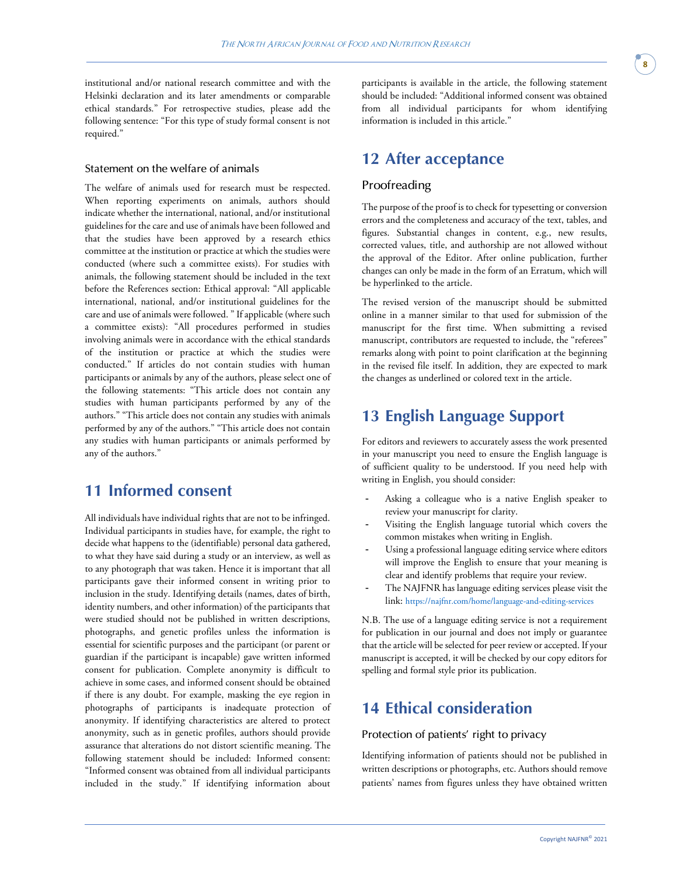institutional and/or national research committee and with the Helsinki declaration and its later amendments or comparable ethical standards." For retrospective studies, please add the following sentence: "For this type of study formal consent is not required."

#### Statement on the welfare of animals

The welfare of animals used for research must be respected. When reporting experiments on animals, authors should indicate whether the international, national, and/or institutional guidelines for the care and use of animals have been followed and that the studies have been approved by a research ethics committee at the institution or practice at which the studies were conducted (where such a committee exists). For studies with animals, the following statement should be included in the text before the References section: Ethical approval: "All applicable international, national, and/or institutional guidelines for the care and use of animals were followed. " If applicable (where such a committee exists): "All procedures performed in studies involving animals were in accordance with the ethical standards of the institution or practice at which the studies were conducted." If articles do not contain studies with human participants or animals by any of the authors, please select one of the following statements: "This article does not contain any studies with human participants performed by any of the authors." "This article does not contain any studies with animals performed by any of the authors." "This article does not contain any studies with human participants or animals performed by any of the authors."

# <span id="page-7-0"></span>**11 Informed consent**

All individuals have individual rights that are not to be infringed. Individual participants in studies have, for example, the right to decide what happens to the (identifiable) personal data gathered, to what they have said during a study or an interview, as well as to any photograph that was taken. Hence it is important that all participants gave their informed consent in writing prior to inclusion in the study. Identifying details (names, dates of birth, identity numbers, and other information) of the participants that were studied should not be published in written descriptions, photographs, and genetic profiles unless the information is essential for scientific purposes and the participant (or parent or guardian if the participant is incapable) gave written informed consent for publication. Complete anonymity is difficult to achieve in some cases, and informed consent should be obtained if there is any doubt. For example, masking the eye region in photographs of participants is inadequate protection of anonymity. If identifying characteristics are altered to protect anonymity, such as in genetic profiles, authors should provide assurance that alterations do not distort scientific meaning. The following statement should be included: Informed consent: "Informed consent was obtained from all individual participants included in the study." If identifying information about

participants is available in the article, the following statement should be included: "Additional informed consent was obtained from all individual participants for whom identifying information is included in this article."

# <span id="page-7-1"></span>**12 After acceptance**

## Proofreading

The purpose of the proof is to check for typesetting or conversion errors and the completeness and accuracy of the text, tables, and figures. Substantial changes in content, e.g., new results, corrected values, title, and authorship are not allowed without the approval of the Editor. After online publication, further changes can only be made in the form of an Erratum, which will be hyperlinked to the article.

The revised version of the manuscript should be submitted online in a manner similar to that used for submission of the manuscript for the first time. When submitting a revised manuscript, contributors are requested to include, the "referees" remarks along with point to point clarification at the beginning in the revised file itself. In addition, they are expected to mark the changes as underlined or colored text in the article.

# <span id="page-7-2"></span>**13 English Language Support**

For editors and reviewers to accurately assess the work presented in your manuscript you need to ensure the English language is of sufficient quality to be understood. If you need help with writing in English, you should consider:

- Asking a colleague who is a native English speaker to review your manuscript for clarity.
- Visiting the English language tutorial which covers the common mistakes when writing in English.
- Using a professional language editing service where editors will improve the English to ensure that your meaning is clear and identify problems that require your review.
- The NAJFNR has language editing services please visit the link: <https://najfnr.com/home/language-and-editing-services>

N.B. The use of a language editing service is not a requirement for publication in our journal and does not imply or guarantee that the article will be selected for peer review or accepted. If your manuscript is accepted, it will be checked by our copy editors for spelling and formal style prior its publication.

# <span id="page-7-3"></span>**14 Ethical consideration**

## Protection of patients' right to privacy

Identifying information of patients should not be published in written descriptions or photographs, etc. Authors should remove patients' names from figures unless they have obtained written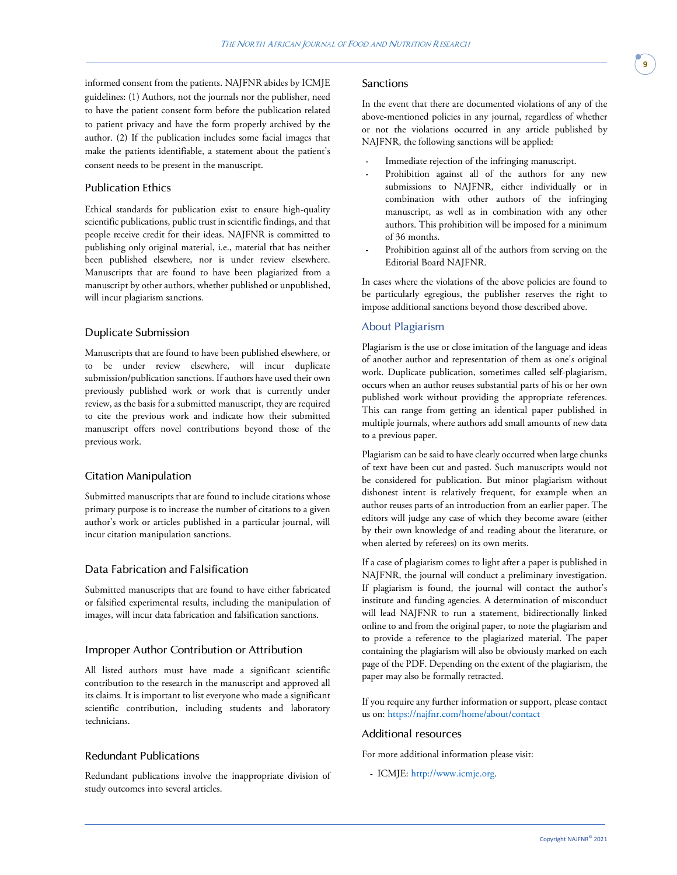informed consent from the patients. NAJFNR abides by ICMJE guidelines: (1) Authors, not the journals nor the publisher, need to have the patient consent form before the publication related to patient privacy and have the form properly archived by the author. (2) If the publication includes some facial images that make the patients identifiable, a statement about the patient's consent needs to be present in the manuscript.

## Publication Ethics

Ethical standards for publication exist to ensure high-quality scientific publications, public trust in scientific findings, and that people receive credit for their ideas. NAJFNR is committed to publishing only original material, i.e., material that has neither been published elsewhere, nor is under review elsewhere. Manuscripts that are found to have been plagiarized from a manuscript by other authors, whether published or unpublished, will incur plagiarism sanctions.

#### Duplicate Submission

Manuscripts that are found to have been published elsewhere, or to be under review elsewhere, will incur duplicate submission/publication sanctions. If authors have used their own previously published work or work that is currently under review, as the basis for a submitted manuscript, they are required to cite the previous work and indicate how their submitted manuscript offers novel contributions beyond those of the previous work.

#### Citation Manipulation

Submitted manuscripts that are found to include citations whose primary purpose is to increase the number of citations to a given author's work or articles published in a particular journal, will incur citation manipulation sanctions.

#### Data Fabrication and Falsification

Submitted manuscripts that are found to have either fabricated or falsified experimental results, including the manipulation of images, will incur data fabrication and falsification sanctions.

#### Improper Author Contribution or Attribution

All listed authors must have made a significant scientific contribution to the research in the manuscript and approved all its claims. It is important to list everyone who made a significant scientific contribution, including students and laboratory technicians.

#### Redundant Publications

Redundant publications involve the inappropriate division of study outcomes into several articles.

#### Sanctions

In the event that there are documented violations of any of the above-mentioned policies in any journal, regardless of whether or not the violations occurred in any article published by NAJFNR, the following sanctions will be applied:

- Immediate rejection of the infringing manuscript.
- Prohibition against all of the authors for any new submissions to NAJFNR, either individually or in combination with other authors of the infringing manuscript, as well as in combination with any other authors. This prohibition will be imposed for a minimum of 36 months.
- Prohibition against all of the authors from serving on the Editorial Board NAJFNR.

In cases where the violations of the above policies are found to be particularly egregious, the publisher reserves the right to impose additional sanctions beyond those described above.

## About Plagiarism

Plagiarism is the use or close imitation of the language and ideas of another author and representation of them as one's original work. Duplicate publication, sometimes called self-plagiarism, occurs when an author reuses substantial parts of his or her own published work without providing the appropriate references. This can range from getting an identical paper published in multiple journals, where authors add small amounts of new data to a previous paper.

Plagiarism can be said to have clearly occurred when large chunks of text have been cut and pasted. Such manuscripts would not be considered for publication. But minor plagiarism without dishonest intent is relatively frequent, for example when an author reuses parts of an introduction from an earlier paper. The editors will judge any case of which they become aware (either by their own knowledge of and reading about the literature, or when alerted by referees) on its own merits.

If a case of plagiarism comes to light after a paper is published in NAJFNR, the journal will conduct a preliminary investigation. If plagiarism is found, the journal will contact the author's institute and funding agencies. A determination of misconduct will lead NAJFNR to run a statement, bidirectionally linked online to and from the original paper, to note the plagiarism and to provide a reference to the plagiarized material. The paper containing the plagiarism will also be obviously marked on each page of the PDF. Depending on the extent of the plagiarism, the paper may also be formally retracted.

If you require any further information or support, please contact us on:<https://najfnr.com/home/about/contact>

#### Additional resources

For more additional information please visit:

- ICMJE: [http://www.icmje.org.](http://www.icmje.org/)